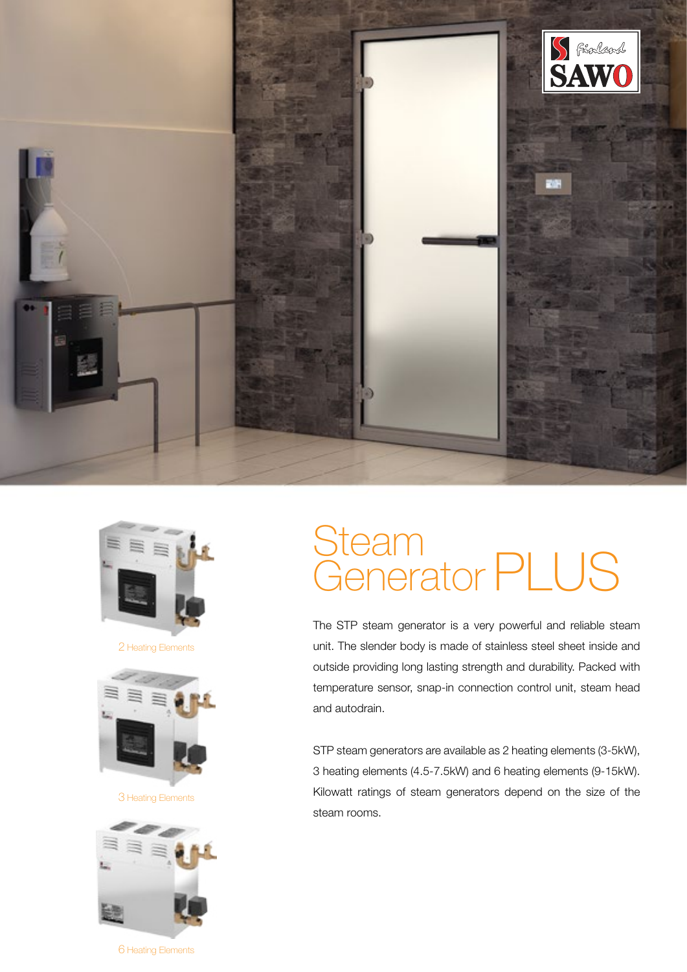



2 Heating Elements



3 Heating Elements



6 Heating Elements

# **Steam** Generator PLUS

The STP steam generator is a very powerful and reliable steam unit. The slender body is made of stainless steel sheet inside and outside providing long lasting strength and durability. Packed with temperature sensor, snap-in connection control unit, steam head and autodrain.

STP steam generators are available as 2 heating elements (3-5kW), 3 heating elements (4.5-7.5kW) and 6 heating elements (9-15kW). Kilowatt ratings of steam generators depend on the size of the steam rooms.